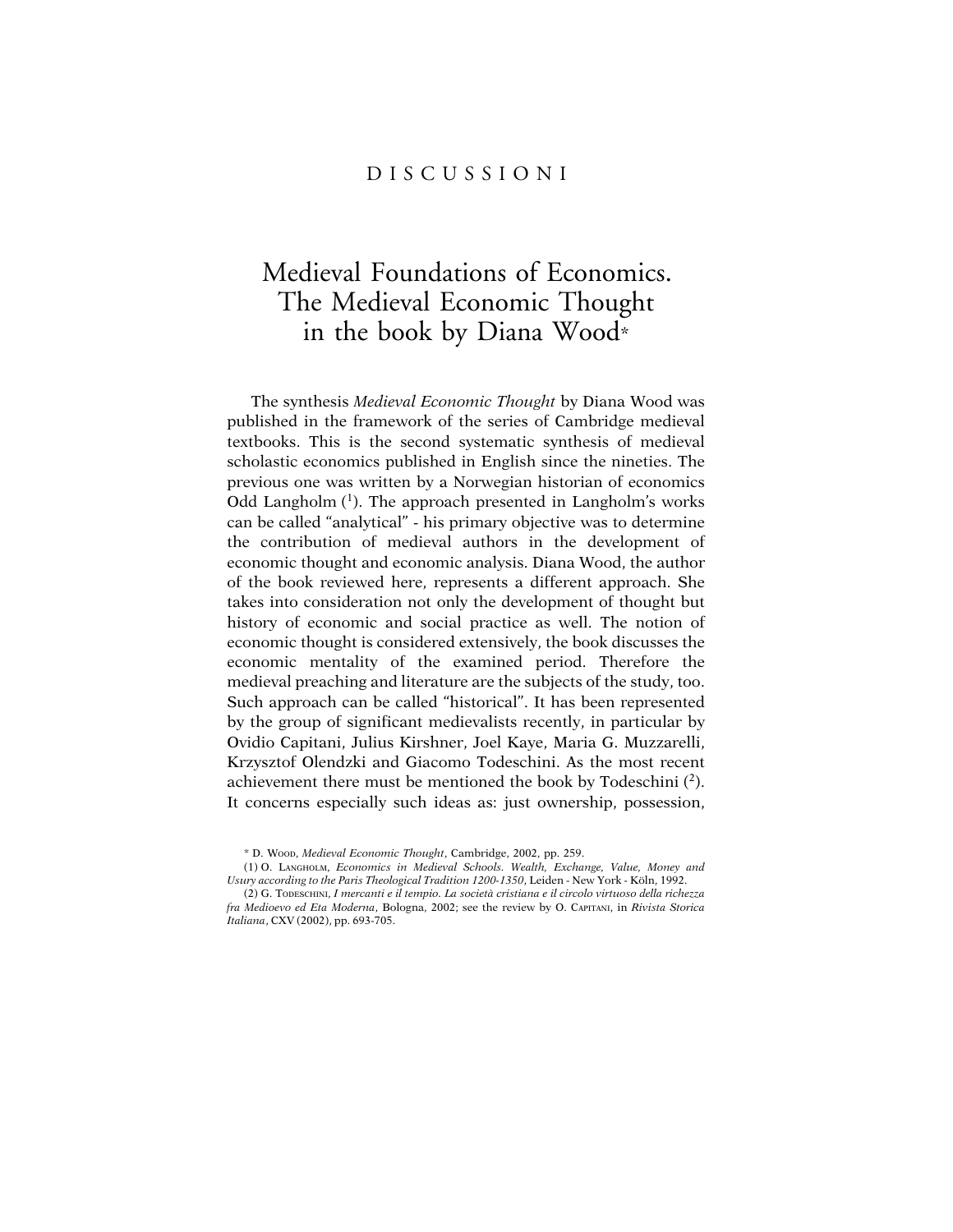## D I S C U S S I O N I

## Medieval Foundations of Economics. The Medieval Economic Thought in the book by Diana Wood\*

The synthesis *Medieval Economic Thought* by Diana Wood was published in the framework of the series of Cambridge medieval textbooks. This is the second systematic synthesis of medieval scholastic economics published in English since the nineties. The previous one was written by a Norwegian historian of economics Odd Langholm  $(1)$ . The approach presented in Langholm's works can be called "analytical" - his primary objective was to determine the contribution of medieval authors in the development of economic thought and economic analysis. Diana Wood, the author of the book reviewed here, represents a different approach. She takes into consideration not only the development of thought but history of economic and social practice as well. The notion of economic thought is considered extensively, the book discusses the economic mentality of the examined period. Therefore the medieval preaching and literature are the subjects of the study, too. Such approach can be called "historical". It has been represented by the group of significant medievalists recently, in particular by Ovidio Capitani, Julius Kirshner, Joel Kaye, Maria G. Muzzarelli, Krzysztof Olendzki and Giacomo Todeschini. As the most recent achievement there must be mentioned the book by Todeschini  $(2)$ . It concerns especially such ideas as: just ownership, possession,

<sup>\*</sup> D. WOOD, *Medieval Economic Thought*, Cambridge, 2002, pp. 259.

<sup>(1)</sup> O. LANGHOLM, *Economics in Medieval Schools. Wealth, Exchange, Value, Money and Usury according to the Paris Theological Tradition 1200-1350*, Leiden - New York - Köln, 1992.

<sup>(2)</sup> G. TODESCHINI, *I mercanti e il tempio. La società cristiana e il circolo virtuoso della richezza fra Medioevo ed Eta Moderna*, Bologna, 2002; see the review by O. CAPITANI, in *Rivista Storica Italiana*, CXV (2002), pp. 693-705.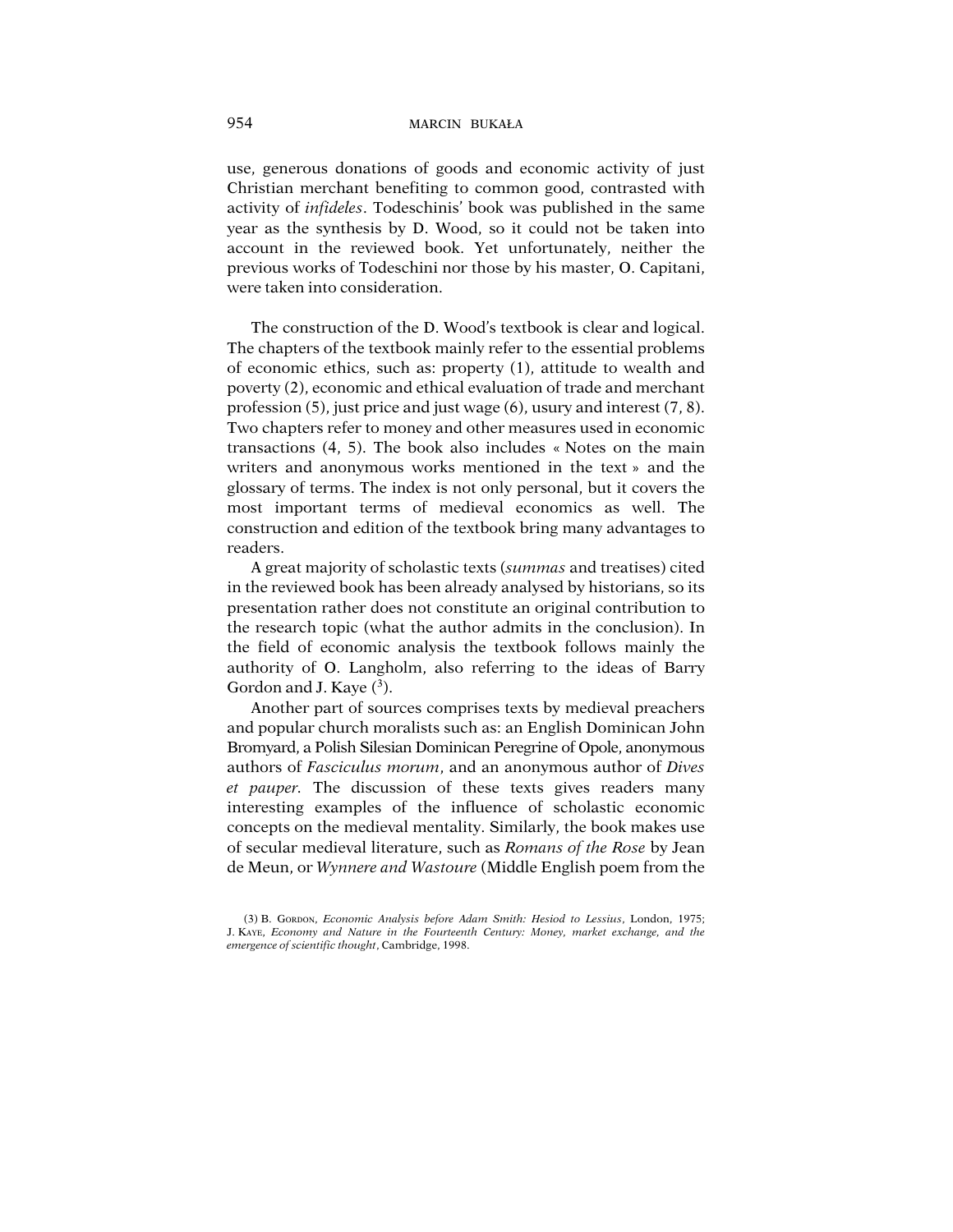use, generous donations of goods and economic activity of just Christian merchant benefiting to common good, contrasted with activity of *infideles*. Todeschinis' book was published in the same year as the synthesis by D. Wood, so it could not be taken into account in the reviewed book. Yet unfortunately, neither the previous works of Todeschini nor those by his master, O. Capitani, were taken into consideration.

The construction of the D. Wood's textbook is clear and logical. The chapters of the textbook mainly refer to the essential problems of economic ethics, such as: property (1), attitude to wealth and poverty (2), economic and ethical evaluation of trade and merchant profession (5), just price and just wage (6), usury and interest (7, 8). Two chapters refer to money and other measures used in economic transactions (4, 5). The book also includes « Notes on the main writers and anonymous works mentioned in the text » and the glossary of terms. The index is not only personal, but it covers the most important terms of medieval economics as well. The construction and edition of the textbook bring many advantages to readers.

A great majority of scholastic texts (*summas* and treatises) cited in the reviewed book has been already analysed by historians, so its presentation rather does not constitute an original contribution to the research topic (what the author admits in the conclusion). In the field of economic analysis the textbook follows mainly the authority of O. Langholm, also referring to the ideas of Barry Gordon and J. Kaye  $(^3)$ .

Another part of sources comprises texts by medieval preachers and popular church moralists such as: an English Dominican John Bromyard, a Polish Silesian Dominican Peregrine of Opole, anonymous authors of *Fasciculus morum*, and an anonymous author of *Dives et pauper.* The discussion of these texts gives readers many interesting examples of the influence of scholastic economic concepts on the medieval mentality. Similarly, the book makes use of secular medieval literature, such as *Romans of the Rose* by Jean de Meun, or *Wynnere and Wastoure* (Middle English poem from the

<sup>(3)</sup> B. GORDON, *Economic Analysis before Adam Smith: Hesiod to Lessius*, London, 1975; J. KAYE, *Economy and Nature in the Fourteenth Century: Money, market exchange, and the emergence of scientific thought*, Cambridge, 1998.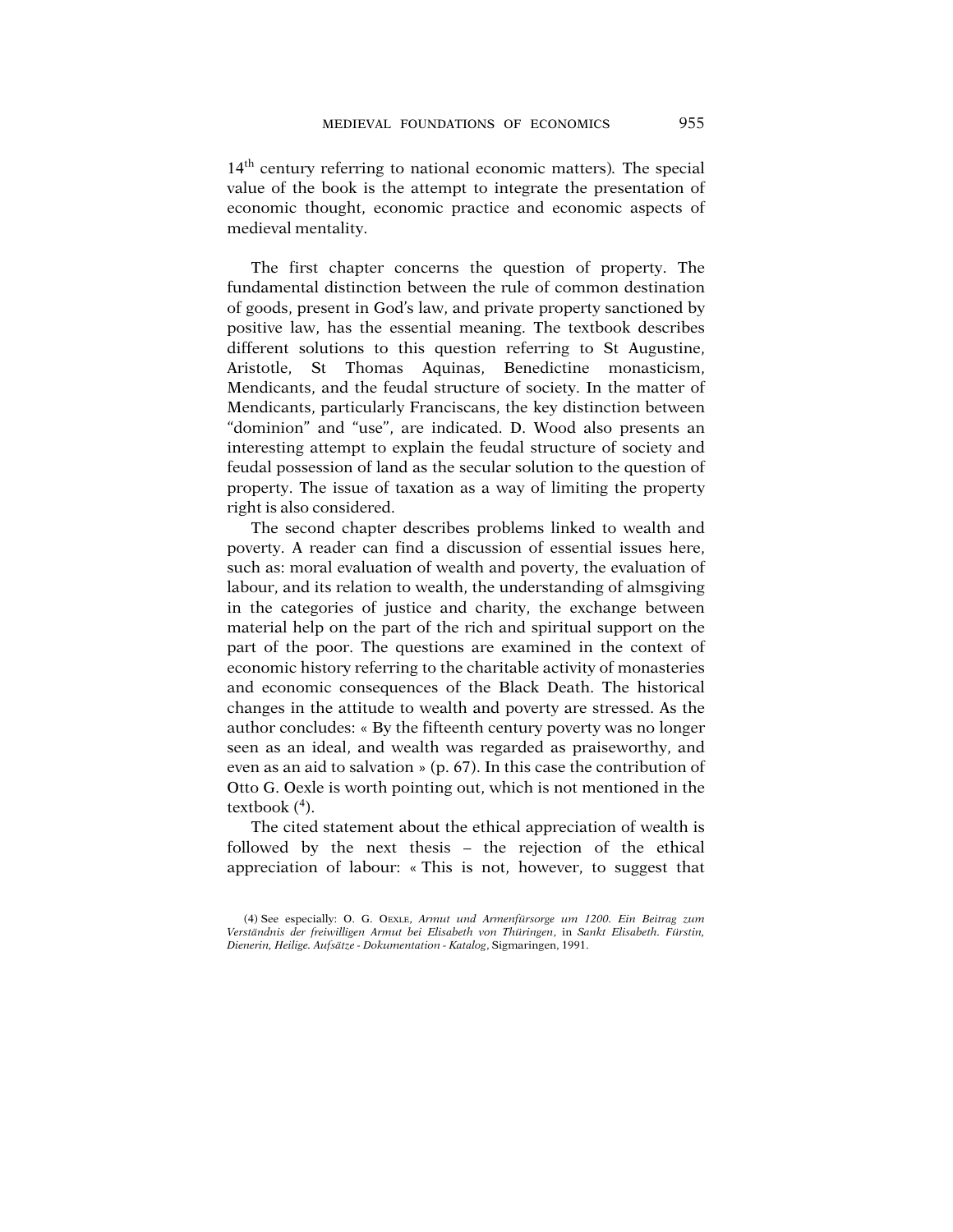14th century referring to national economic matters)*.* The special value of the book is the attempt to integrate the presentation of economic thought, economic practice and economic aspects of medieval mentality.

The first chapter concerns the question of property. The fundamental distinction between the rule of common destination of goods, present in God's law, and private property sanctioned by positive law, has the essential meaning. The textbook describes different solutions to this question referring to St Augustine, Aristotle, St Thomas Aquinas, Benedictine monasticism, Mendicants, and the feudal structure of society. In the matter of Mendicants, particularly Franciscans, the key distinction between "dominion" and "use", are indicated. D. Wood also presents an interesting attempt to explain the feudal structure of society and feudal possession of land as the secular solution to the question of property. The issue of taxation as a way of limiting the property right is also considered.

The second chapter describes problems linked to wealth and poverty. A reader can find a discussion of essential issues here, such as: moral evaluation of wealth and poverty, the evaluation of labour, and its relation to wealth, the understanding of almsgiving in the categories of justice and charity, the exchange between material help on the part of the rich and spiritual support on the part of the poor. The questions are examined in the context of economic history referring to the charitable activity of monasteries and economic consequences of the Black Death. The historical changes in the attitude to wealth and poverty are stressed. As the author concludes: « By the fifteenth century poverty was no longer seen as an ideal, and wealth was regarded as praiseworthy, and even as an aid to salvation » (p. 67). In this case the contribution of Otto G. Oexle is worth pointing out, which is not mentioned in the textbook (<sup>4</sup>).

The cited statement about the ethical appreciation of wealth is followed by the next thesis – the rejection of the ethical appreciation of labour: « This is not, however, to suggest that

<sup>(4)</sup> See especially: O. G. OEXLE, *Armut und Armenfürsorge um 1200. Ein Beitrag zum Verständnis der freiwilligen Armut bei Elisabeth von Thüringen*, in *Sankt Elisabeth. Fürstin, Dienerin, Heilige. Aufsätze - Dokumentation - Katalog*, Sigmaringen, 1991.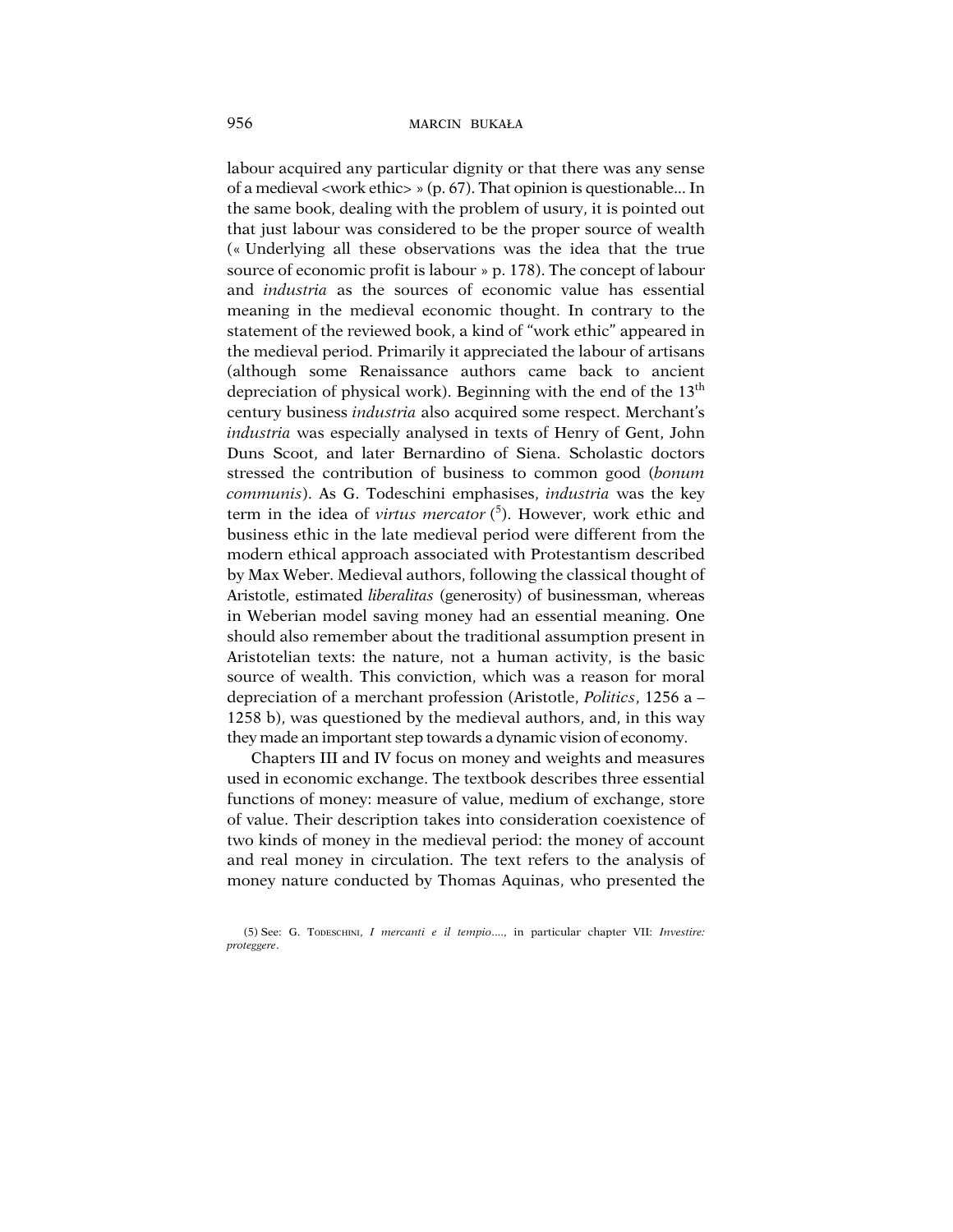labour acquired any particular dignity or that there was any sense of a medieval <work ethic> » (p. 67). That opinion is questionable... In the same book, dealing with the problem of usury, it is pointed out that just labour was considered to be the proper source of wealth (« Underlying all these observations was the idea that the true source of economic profit is labour » p. 178). The concept of labour and *industria* as the sources of economic value has essential meaning in the medieval economic thought. In contrary to the statement of the reviewed book, a kind of "work ethic" appeared in the medieval period. Primarily it appreciated the labour of artisans (although some Renaissance authors came back to ancient depreciation of physical work). Beginning with the end of the 13<sup>th</sup> century business *industria* also acquired some respect. Merchant's *industria* was especially analysed in texts of Henry of Gent, John Duns Scoot, and later Bernardino of Siena. Scholastic doctors stressed the contribution of business to common good (*bonum communis*). As G. Todeschini emphasises, *industria* was the key term in the idea of *virtus mercator* ( 5 ). However, work ethic and business ethic in the late medieval period were different from the modern ethical approach associated with Protestantism described by Max Weber. Medieval authors, following the classical thought of Aristotle, estimated *liberalitas* (generosity) of businessman, whereas in Weberian model saving money had an essential meaning. One should also remember about the traditional assumption present in Aristotelian texts: the nature, not a human activity, is the basic source of wealth. This conviction, which was a reason for moral depreciation of a merchant profession (Aristotle, *Politics*, 1256 a – 1258 b), was questioned by the medieval authors, and, in this way they made an important step towards a dynamic vision of economy.

Chapters III and IV focus on money and weights and measures used in economic exchange. The textbook describes three essential functions of money: measure of value, medium of exchange, store of value. Their description takes into consideration coexistence of two kinds of money in the medieval period: the money of account and real money in circulation. The text refers to the analysis of money nature conducted by Thomas Aquinas, who presented the

<sup>(5)</sup> See: G. TODESCHINI, *I mercanti e il tempio*...., in particular chapter VII: *Investire: proteggere*.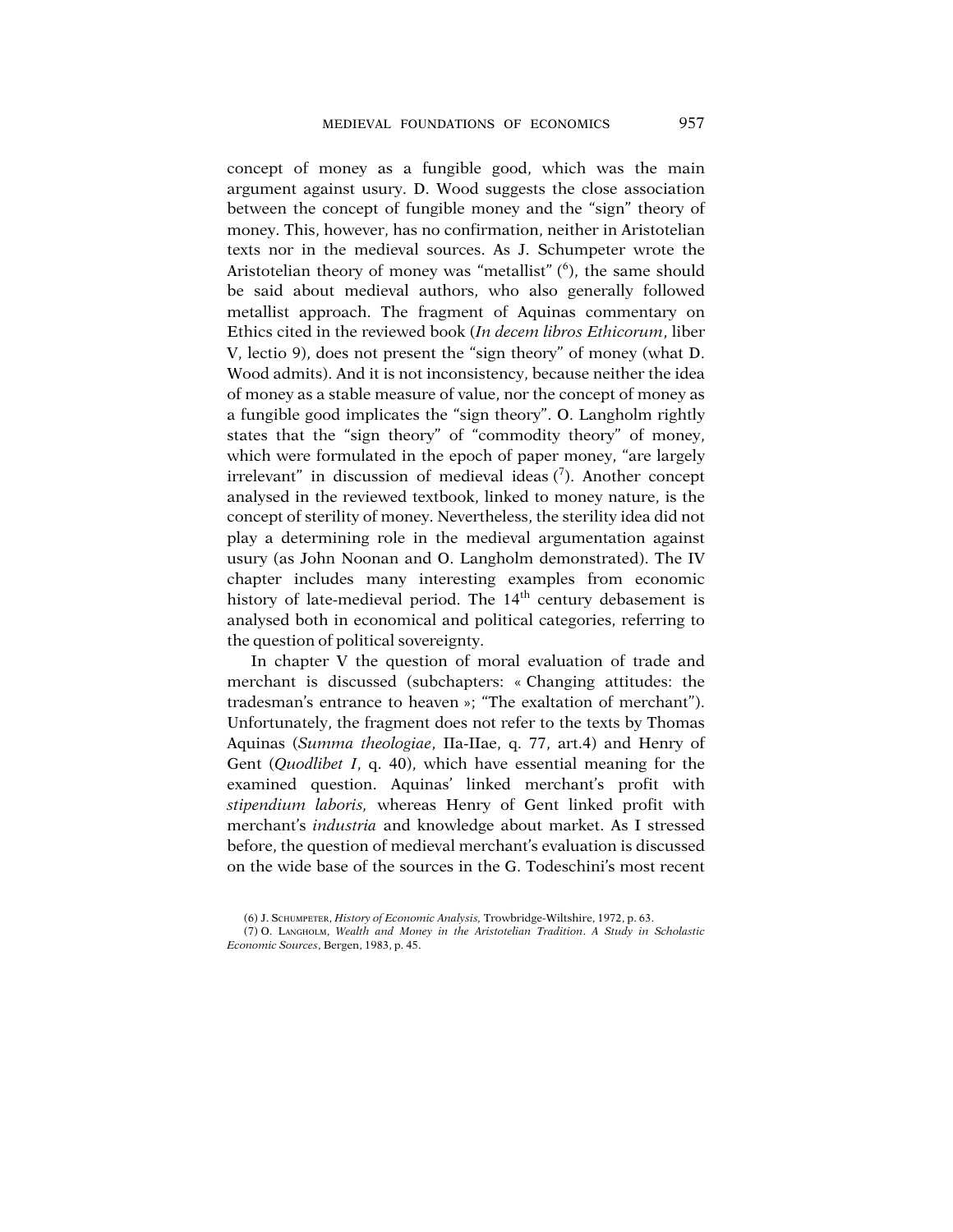concept of money as a fungible good, which was the main argument against usury. D. Wood suggests the close association between the concept of fungible money and the "sign" theory of money. This, however, has no confirmation, neither in Aristotelian texts nor in the medieval sources. As J. Schumpeter wrote the Aristotelian theory of money was "metallist" (6), the same should be said about medieval authors, who also generally followed metallist approach. The fragment of Aquinas commentary on Ethics cited in the reviewed book (*In decem libros Ethicorum*, liber V, lectio 9), does not present the "sign theory" of money (what D. Wood admits). And it is not inconsistency, because neither the idea of money as a stable measure of value, nor the concept of money as a fungible good implicates the "sign theory". O. Langholm rightly states that the "sign theory" of "commodity theory" of money, which were formulated in the epoch of paper money, "are largely irrelevant" in discussion of medieval ideas (7). Another concept analysed in the reviewed textbook, linked to money nature, is the concept of sterility of money. Nevertheless, the sterility idea did not play a determining role in the medieval argumentation against usury (as John Noonan and O. Langholm demonstrated). The IV chapter includes many interesting examples from economic history of late-medieval period. The  $14<sup>th</sup>$  century debasement is analysed both in economical and political categories, referring to the question of political sovereignty.

In chapter V the question of moral evaluation of trade and merchant is discussed (subchapters: « Changing attitudes: the tradesman's entrance to heaven »; "The exaltation of merchant"). Unfortunately, the fragment does not refer to the texts by Thomas Aquinas (*Summa theologiae*, IIa-IIae, q. 77, art.4) and Henry of Gent (*Quodlibet I*, q. 40), which have essential meaning for the examined question. Aquinas' linked merchant's profit with *stipendium laboris,* whereas Henry of Gent linked profit with merchant's *industria* and knowledge about market. As I stressed before, the question of medieval merchant's evaluation is discussed on the wide base of the sources in the G. Todeschini's most recent

<sup>(6)</sup> J. SCHUMPETER, *History of Economic Analysis,* Trowbridge-Wiltshire, 1972, p. 63.

<sup>(7)</sup> O. LANGHOLM, *Wealth and Money in the Aristotelian Tradition*. *A Study in Scholastic Economic Sources*, Bergen, 1983, p. 45.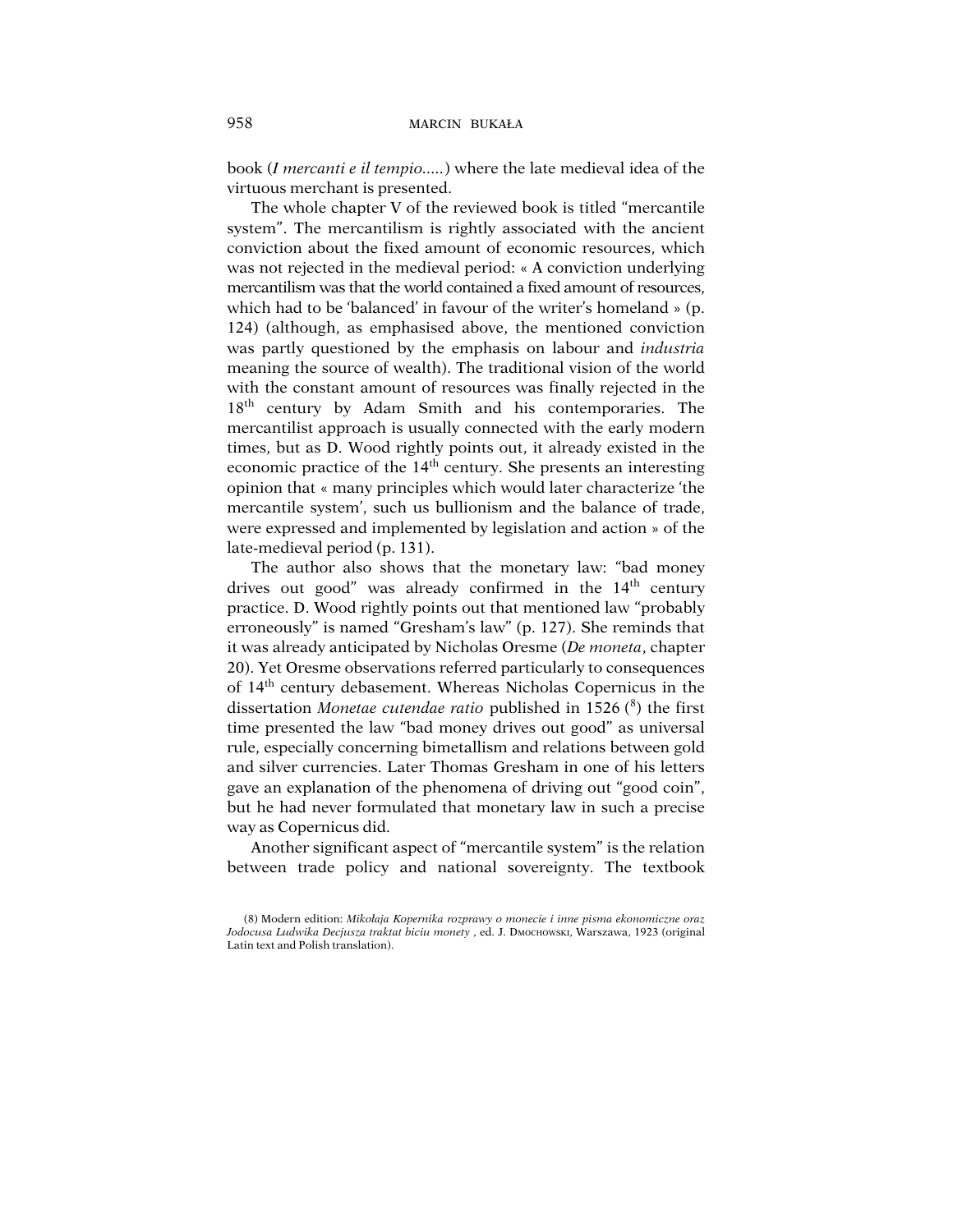book (*I mercanti e il tempio.....*) where the late medieval idea of the virtuous merchant is presented.

The whole chapter V of the reviewed book is titled "mercantile system". The mercantilism is rightly associated with the ancient conviction about the fixed amount of economic resources, which was not rejected in the medieval period: « A conviction underlying mercantilism was that the world contained a fixed amount of resources, which had to be 'balanced' in favour of the writer's homeland » (p. 124) (although, as emphasised above, the mentioned conviction was partly questioned by the emphasis on labour and *industria* meaning the source of wealth). The traditional vision of the world with the constant amount of resources was finally rejected in the 18<sup>th</sup> century by Adam Smith and his contemporaries. The mercantilist approach is usually connected with the early modern times, but as D. Wood rightly points out, it already existed in the economic practice of the  $14<sup>th</sup>$  century. She presents an interesting opinion that « many principles which would later characterize 'the mercantile system', such us bullionism and the balance of trade, were expressed and implemented by legislation and action » of the late-medieval period (p. 131).

The author also shows that the monetary law: "bad money drives out good" was already confirmed in the 14<sup>th</sup> century practice. D. Wood rightly points out that mentioned law "probably erroneously" is named "Gresham's law" (p. 127). She reminds that it was already anticipated by Nicholas Oresme (*De moneta*, chapter 20). Yet Oresme observations referred particularly to consequences of 14th century debasement. Whereas Nicholas Copernicus in the dissertation *Monetae cutendae ratio* published in 1526 (<sup>8</sup>) the first time presented the law "bad money drives out good" as universal rule, especially concerning bimetallism and relations between gold and silver currencies. Later Thomas Gresham in one of his letters gave an explanation of the phenomena of driving out "good coin", but he had never formulated that monetary law in such a precise way as Copernicus did.

Another significant aspect of "mercantile system" is the relation between trade policy and national sovereignty. The textbook

<sup>(8)</sup> Modern edition: *Mikołaja Kopernika rozprawy o monecie i inne pisma ekonomiczne oraz Jodocusa Ludwika Decjusza traktat biciu monety* , ed. J. DMOCHOWSKI, Warszawa, 1923 (original Latin text and Polish translation).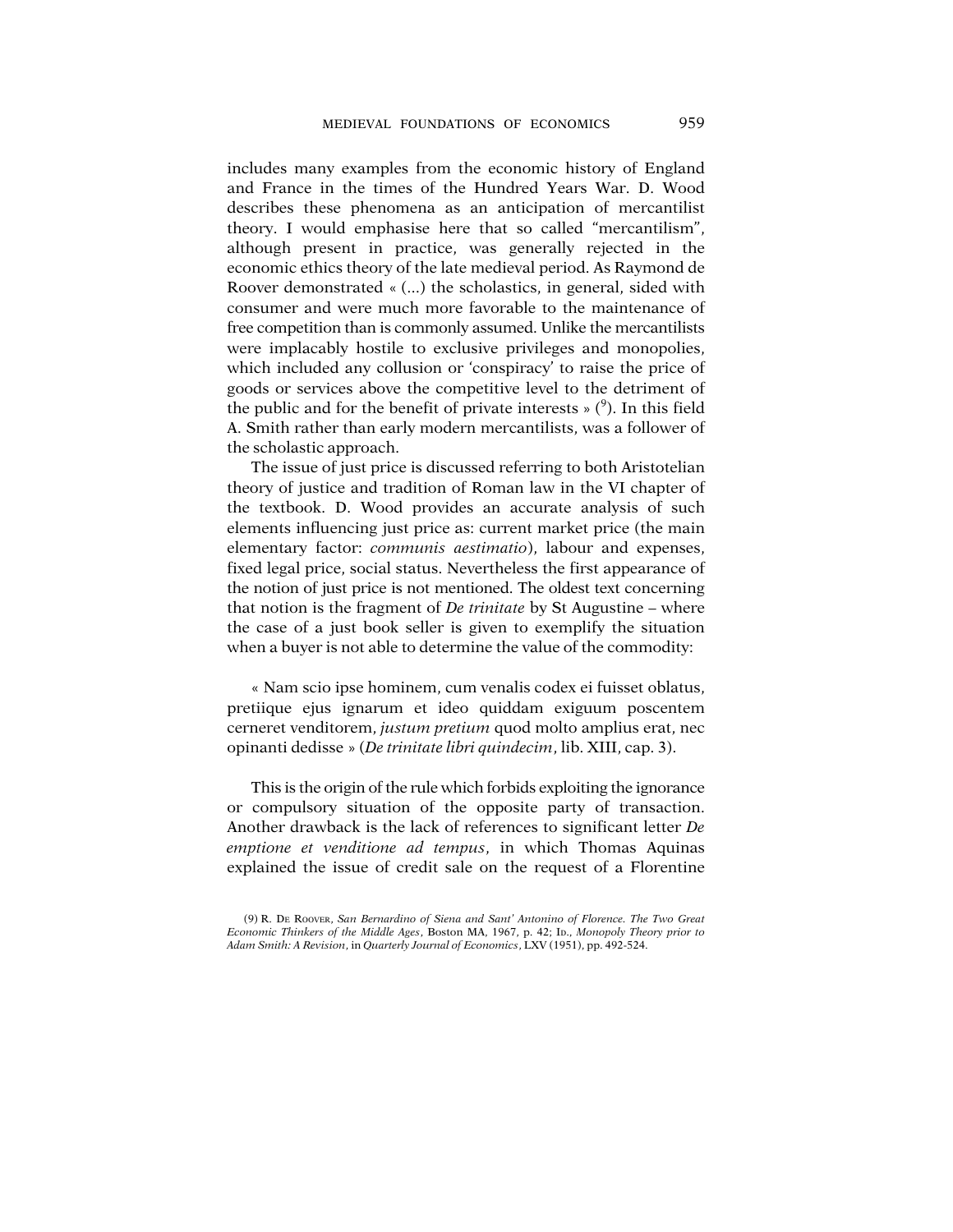includes many examples from the economic history of England and France in the times of the Hundred Years War. D. Wood describes these phenomena as an anticipation of mercantilist theory. I would emphasise here that so called "mercantilism", although present in practice, was generally rejected in the economic ethics theory of the late medieval period. As Raymond de Roover demonstrated « (...) the scholastics, in general, sided with consumer and were much more favorable to the maintenance of free competition than is commonly assumed. Unlike the mercantilists were implacably hostile to exclusive privileges and monopolies, which included any collusion or 'conspiracy' to raise the price of goods or services above the competitive level to the detriment of the public and for the benefit of private interests  $\phi$ ). In this field A. Smith rather than early modern mercantilists, was a follower of the scholastic approach.

The issue of just price is discussed referring to both Aristotelian theory of justice and tradition of Roman law in the VI chapter of the textbook. D. Wood provides an accurate analysis of such elements influencing just price as: current market price (the main elementary factor: *communis aestimatio*), labour and expenses, fixed legal price, social status. Nevertheless the first appearance of the notion of just price is not mentioned. The oldest text concerning that notion is the fragment of *De trinitate* by St Augustine – where the case of a just book seller is given to exemplify the situation when a buyer is not able to determine the value of the commodity:

« Nam scio ipse hominem, cum venalis codex ei fuisset oblatus, pretiique ejus ignarum et ideo quiddam exiguum poscentem cerneret venditorem, *justum pretium* quod molto amplius erat, nec opinanti dedisse » (*De trinitate libri quindecim*, lib. XIII, cap. 3).

This is the origin of the rule which forbids exploiting the ignorance or compulsory situation of the opposite party of transaction. Another drawback is the lack of references to significant letter *De emptione et venditione ad tempus*, in which Thomas Aquinas explained the issue of credit sale on the request of a Florentine

<sup>(9)</sup> R. DE ROOVER, *San Bernardino of Siena and Sant' Antonino of Florence. The Two Great Economic Thinkers of the Middle Ages*, Boston MA, 1967, p. 42; ID., *Monopoly Theory prior to Adam Smith: A Revision*, in *Quarterly Journal of Economics*, LXV (1951), pp. 492-524.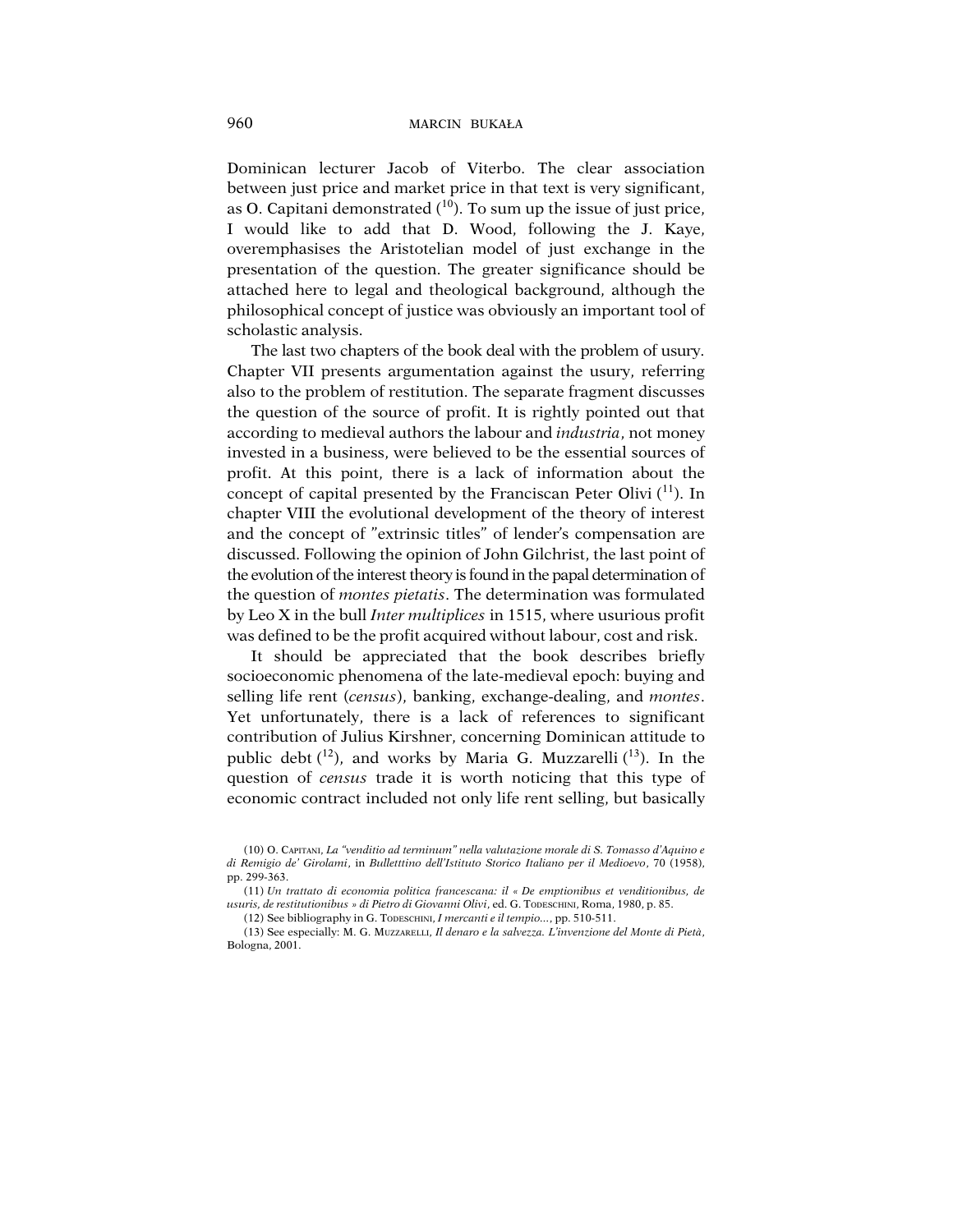Dominican lecturer Jacob of Viterbo. The clear association between just price and market price in that text is very significant, as O. Capitani demonstrated  $(10)$ . To sum up the issue of just price, I would like to add that D. Wood, following the J. Kaye, overemphasises the Aristotelian model of just exchange in the presentation of the question. The greater significance should be attached here to legal and theological background, although the philosophical concept of justice was obviously an important tool of scholastic analysis.

The last two chapters of the book deal with the problem of usury. Chapter VII presents argumentation against the usury, referring also to the problem of restitution. The separate fragment discusses the question of the source of profit. It is rightly pointed out that according to medieval authors the labour and *industria*, not money invested in a business, were believed to be the essential sources of profit. At this point, there is a lack of information about the concept of capital presented by the Franciscan Peter Olivi  $(1)$ . In chapter VIII the evolutional development of the theory of interest and the concept of "extrinsic titles" of lender's compensation are discussed. Following the opinion of John Gilchrist, the last point of the evolution of the interest theory is found in the papal determination of the question of *montes pietatis*. The determination was formulated by Leo X in the bull *Inter multiplices* in 1515, where usurious profit was defined to be the profit acquired without labour, cost and risk.

It should be appreciated that the book describes briefly socioeconomic phenomena of the late-medieval epoch: buying and selling life rent (*census*), banking, exchange-dealing, and *montes*. Yet unfortunately, there is a lack of references to significant contribution of Julius Kirshner, concerning Dominican attitude to public debt  $(12)$ , and works by Maria G. Muzzarelli  $(13)$ . In the question of *census* trade it is worth noticing that this type of economic contract included not only life rent selling, but basically

<sup>(10)</sup> O. CAPITANI, *La "venditio ad terminum" nella valutazione morale di S. Tomasso d'Aquino e di Remigio de' Girolami*, in *Bulletttino dell'Istituto Storico Italiano per il Medioevo*, 70 (1958), pp. 299-363.

<sup>(11)</sup> *Un trattato di economia politica francescana: il « De emptionibus et venditionibus, de usuris, de restitutionibus » di Pietro di Giovanni Olivi*, ed. G. TODESCHINI, Roma, 1980, p. 85.

<sup>(12)</sup> See bibliography in G. TODESCHINI, *I mercanti e il tempio...*, pp. 510-511.

<sup>(13)</sup> See especially: M. G. MUZZARELLI, *Il denaro e la salvezza. L'invenzione del Monte di Pietà*, Bologna, 2001.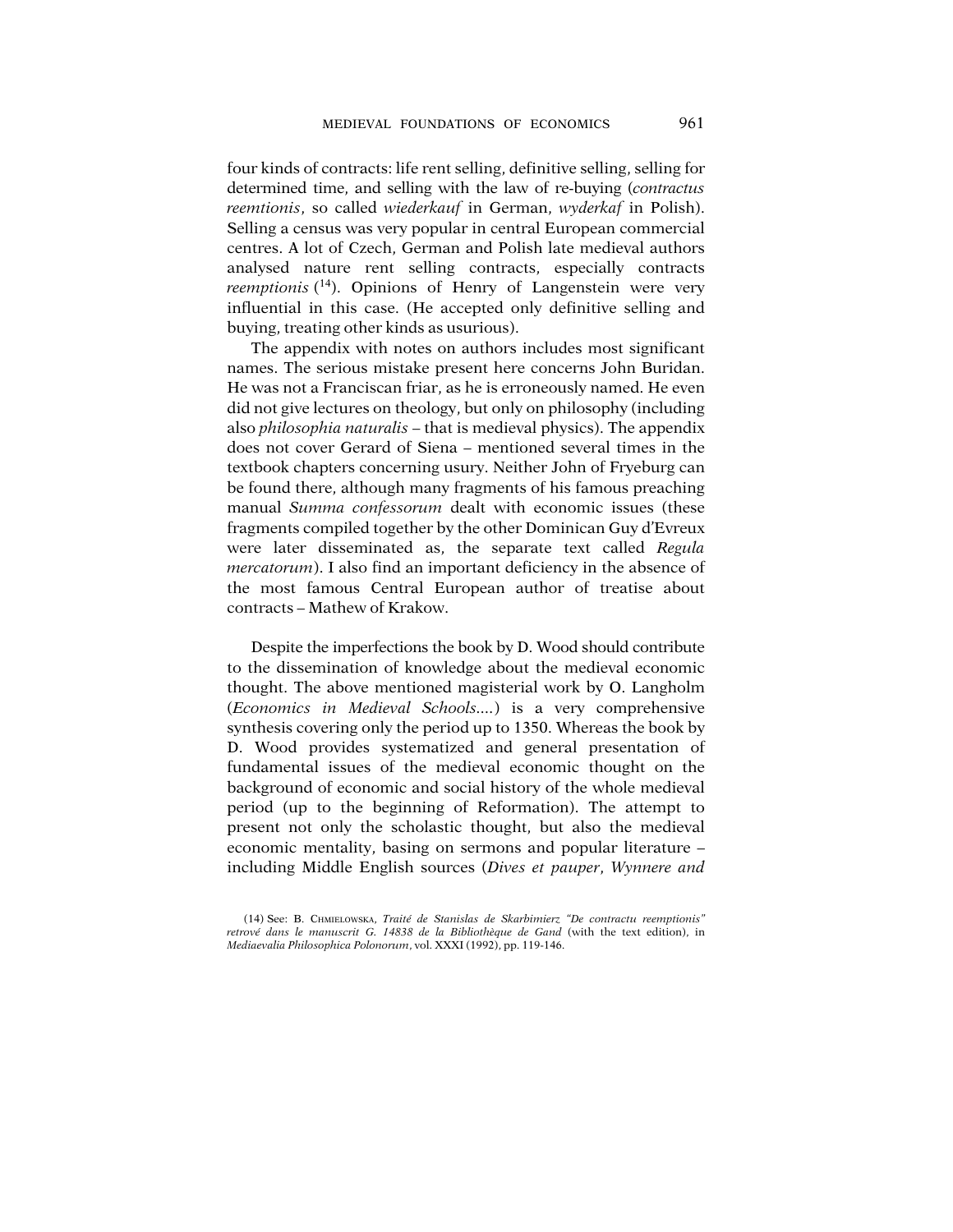four kinds of contracts: life rent selling, definitive selling, selling for determined time, and selling with the law of re-buying (*contractus reemtionis*, so called *wiederkauf* in German, *wyderkaf* in Polish). Selling a census was very popular in central European commercial centres. A lot of Czech, German and Polish late medieval authors analysed nature rent selling contracts, especially contracts *reemptionis* ( 14). Opinions of Henry of Langenstein were very influential in this case. (He accepted only definitive selling and buying, treating other kinds as usurious).

The appendix with notes on authors includes most significant names. The serious mistake present here concerns John Buridan. He was not a Franciscan friar, as he is erroneously named. He even did not give lectures on theology, but only on philosophy (including also *philosophia naturalis* – that is medieval physics). The appendix does not cover Gerard of Siena – mentioned several times in the textbook chapters concerning usury. Neither John of Fryeburg can be found there, although many fragments of his famous preaching manual *Summa confessorum* dealt with economic issues (these fragments compiled together by the other Dominican Guy d'Evreux were later disseminated as, the separate text called *Regula mercatorum*). I also find an important deficiency in the absence of the most famous Central European author of treatise about contracts – Mathew of Krakow.

Despite the imperfections the book by D. Wood should contribute to the dissemination of knowledge about the medieval economic thought. The above mentioned magisterial work by O. Langholm (*Economics in Medieval Schools....*) is a very comprehensive synthesis covering only the period up to 1350. Whereas the book by D. Wood provides systematized and general presentation of fundamental issues of the medieval economic thought on the background of economic and social history of the whole medieval period (up to the beginning of Reformation). The attempt to present not only the scholastic thought, but also the medieval economic mentality, basing on sermons and popular literature – including Middle English sources (*Dives et pauper*, *Wynnere and*

<sup>(14)</sup> See: B. CHMIELOWSKA, *Traité de Stanislas de Skarbimierz "De contractu reemptionis" retrové dans le manuscrit G. 14838 de la Bibliothèque de Gand* (with the text edition), in *Mediaevalia Philosophica Polonorum*, vol. XXXI (1992), pp. 119-146.